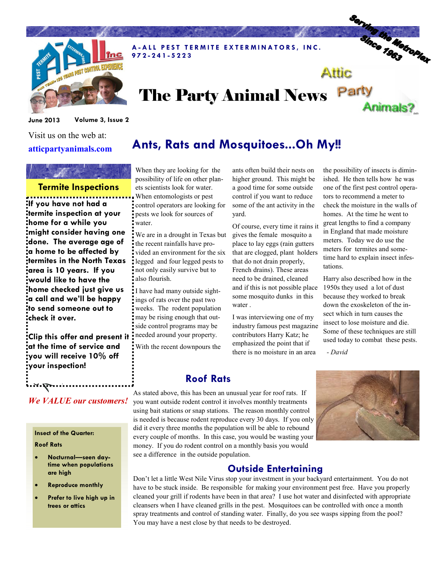

A-ALL PEST TERMITE EXTERMINATORS, INC. 9 7 2 - 2 4 1 - 5 2 2 3

# Serving the Metroplex Attic

Animals?

# The Party Animal News Party

June 2013 Volume 3, Issue 2

Visit us on the web at: atticpartyanimals.com

### Termite Inspections

If you have not had a termite inspection at your home for a while you might consider having one done. The average age of a home to be affected by termites in the North Texas area is 10 years. If you would like to have the home checked just give us a call and we'll be happy to send someone out to check it over.

Clip this offer and present it at the time of service and you will receive 10% off your inspection!

## We VALUE our customers!

#### Insect of the Quarter:

#### Roof Rats

Expires 12-31-13 6-2013

- Nocturnal—seen daytime when populations are high
- Reproduce monthly
- Prefer to live high up in trees or attics

# Ants, Rats and Mosquitoes...Oh My!!

When they are looking for the possibility of life on other planets scientists look for water. When entomologists or pest control operators are looking for pests we look for sources of water.

We are in a drought in Texas but the recent rainfalls have provided an environment for the six legged and four legged pests to not only easily survive but to also flourish.

I have had many outside sightings of rats over the past two weeks. The rodent population may be rising enough that outside control programs may be needed around your property.

With the recent downpours the

ants often build their nests on higher ground. This might be a good time for some outside control if you want to reduce some of the ant activity in the yard.

Of course, every time it rains it gives the female mosquito a place to lay eggs (rain gutters that are clogged, plant holders that do not drain properly, French drains). These areas need to be drained, cleaned and if this is not possible place 1950s they used a lot of dust some mosquito dunks in this water .

I was interviewing one of my industry famous pest magazine contributors Harry Katz; he emphasized the point that if there is no moisture in an area

the possibility of insects is diminished. He then tells how he was one of the first pest control operators to recommend a meter to check the moisture in the walls of homes. At the time he went to great lengths to find a company in England that made moisture meters. Today we do use the meters for termites and sometime hard to explain insect infestations.

Harry also described how in the because they worked to break down the exoskeleton of the insect which in turn causes the insect to lose moisture and die. Some of these techniques are still used today to combat these pests.

- David

# Roof Rats

As stated above, this has been an unusual year for roof rats. If you want outside rodent control it involves monthly treatments using bait stations or snap stations. The reason monthly control is needed is because rodent reproduce every 30 days. If you only did it every three months the population will be able to rebound every couple of months. In this case, you would be wasting your money. If you do rodent control on a monthly basis you would see a difference in the outside population.



# Outside Entertaining

Don't let a little West Nile Virus stop your investment in your backyard entertainment. You do not have to be stuck inside. Be responsible for making your environment pest free. Have you properly cleaned your grill if rodents have been in that area? I use hot water and disinfected with appropriate cleansers when I have cleaned grills in the pest. Mosquitoes can be controlled with once a month spray treatments and control of standing water. Finally, do you see wasps sipping from the pool? You may have a nest close by that needs to be destroyed.